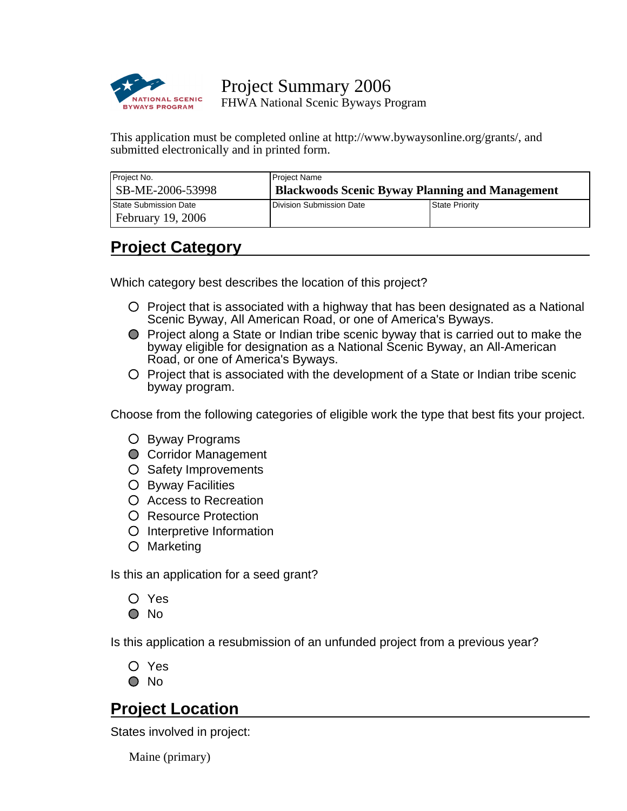

Project Summary 2006 FHWA National Scenic Byways Program

This application must be completed online at http://www.bywaysonline.org/grants/, and submitted electronically and in printed form.

| Project No.                  | Project Name                                           |                |  |
|------------------------------|--------------------------------------------------------|----------------|--|
| SB-ME-2006-53998             | <b>Blackwoods Scenic Byway Planning and Management</b> |                |  |
| <b>State Submission Date</b> | <b>I</b> Division Submission Date                      | State Priority |  |
| <b>February 19, 2006</b>     |                                                        |                |  |

# **Project Category**

Which category best describes the location of this project?

- $\circ$  Project that is associated with a highway that has been designated as a National Scenic Byway, All American Road, or one of America's Byways.
- Project along a State or Indian tribe scenic byway that is carried out to make the byway eligible for designation as a National Scenic Byway, an All-American Road, or one of America's Byways.
- $\circ$  Project that is associated with the development of a State or Indian tribe scenic byway program.

Choose from the following categories of eligible work the type that best fits your project.

- Byway Programs
- **O** Corridor Management
- O Safety Improvements
- O Byway Facilities
- Access to Recreation
- O Resource Protection
- O Interpretive Information
- Marketing

Is this an application for a seed grant?

Yes

 $\bigcirc$  No

Is this application a resubmission of an unfunded project from a previous year?

O Yes

O No

# **Project Location**

States involved in project:

Maine (primary)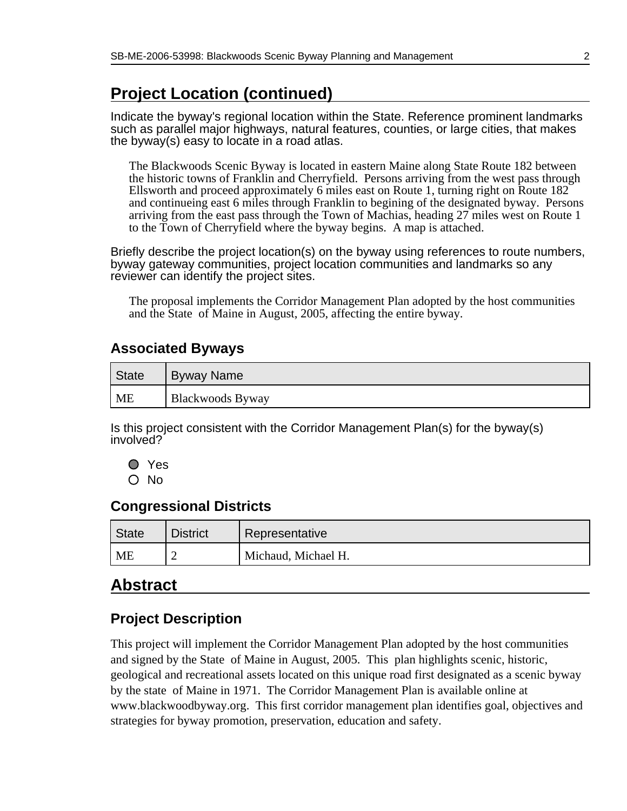# **Project Location (continued)**

Indicate the byway's regional location within the State. Reference prominent landmarks such as parallel maior highways, natural features, counties, or large cities, that makes the byway(s) easy to locate in a road atlas.

The Blackwoods Scenic Byway is located in eastern Maine along State Route 182 between the historic towns of Franklin and Cherryfield. Persons arriving from the west pass through Ellsworth and proceed approximately 6 miles east on Route 1, turning right on Route 182 and continueing east 6 miles through Franklin to begining of the designated byway. Persons arriving from the east pass through the Town of Machias, heading 27 miles west on Route 1 to the Town of Cherryfield where the byway begins. A map is attached.

Briefly describe the project location(s) on the byway using references to route numbers, byway gateway communities, project location communities and landmarks so any reviewer can identify the project sites.

The proposal implements the Corridor Management Plan adopted by the host communities and the State of Maine in August, 2005, affecting the entire byway.

### **Associated Byways**

| ' State   | Byway Name              |
|-----------|-------------------------|
| <b>ME</b> | <b>Blackwoods Byway</b> |

Is this project consistent with the Corridor Management Plan(s) for the byway(s) involved?

Yes O No

#### **Congressional Districts**

| <b>State</b> | <b>District</b> | Representative      |
|--------------|-----------------|---------------------|
| ME           |                 | Michaud, Michael H. |

# **Abstract**

# **Project Description**

This project will implement the Corridor Management Plan adopted by the host communities and signed by the State of Maine in August, 2005. This plan highlights scenic, historic, geological and recreational assets located on this unique road first designated as a scenic byway by the state of Maine in 1971. The Corridor Management Plan is available online at www.blackwoodbyway.org. This first corridor management plan identifies goal, objectives and strategies for byway promotion, preservation, education and safety.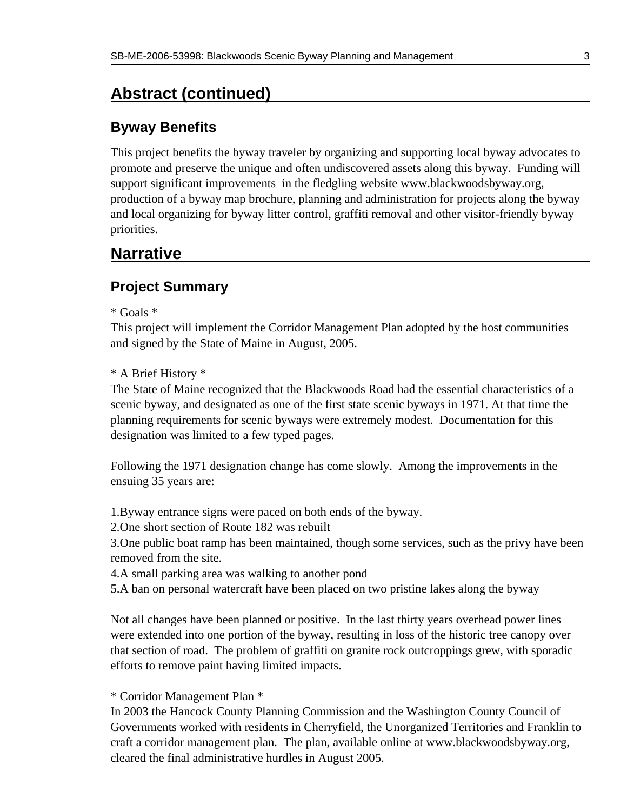# **Abstract (continued)**

### **Byway Benefits**

This project benefits the byway traveler by organizing and supporting local byway advocates to promote and preserve the unique and often undiscovered assets along this byway. Funding will support significant improvements in the fledgling website www.blackwoodsbyway.org, production of a byway map brochure, planning and administration for projects along the byway and local organizing for byway litter control, graffiti removal and other visitor-friendly byway priorities.

# **Narrative**

### **Project Summary**

\* Goals \*

This project will implement the Corridor Management Plan adopted by the host communities and signed by the State of Maine in August, 2005.

#### \* A Brief History \*

The State of Maine recognized that the Blackwoods Road had the essential characteristics of a scenic byway, and designated as one of the first state scenic byways in 1971. At that time the planning requirements for scenic byways were extremely modest. Documentation for this designation was limited to a few typed pages.

Following the 1971 designation change has come slowly. Among the improvements in the ensuing 35 years are:

1. Byway entrance signs were paced on both ends of the byway.

2. One short section of Route 182 was rebuilt

3. One public boat ramp has been maintained, though some services, such as the privy have been removed from the site.

- 4. A small parking area was walking to another pond
- 5. A ban on personal watercraft have been placed on two pristine lakes along the byway

Not all changes have been planned or positive. In the last thirty years overhead power lines were extended into one portion of the byway, resulting in loss of the historic tree canopy over that section of road. The problem of graffiti on granite rock outcroppings grew, with sporadic efforts to remove paint having limited impacts.

#### \* Corridor Management Plan \*

In 2003 the Hancock County Planning Commission and the Washington County Council of Governments worked with residents in Cherryfield, the Unorganized Territories and Franklin to craft a corridor management plan. The plan, available online at www.blackwoodsbyway.org, cleared the final administrative hurdles in August 2005.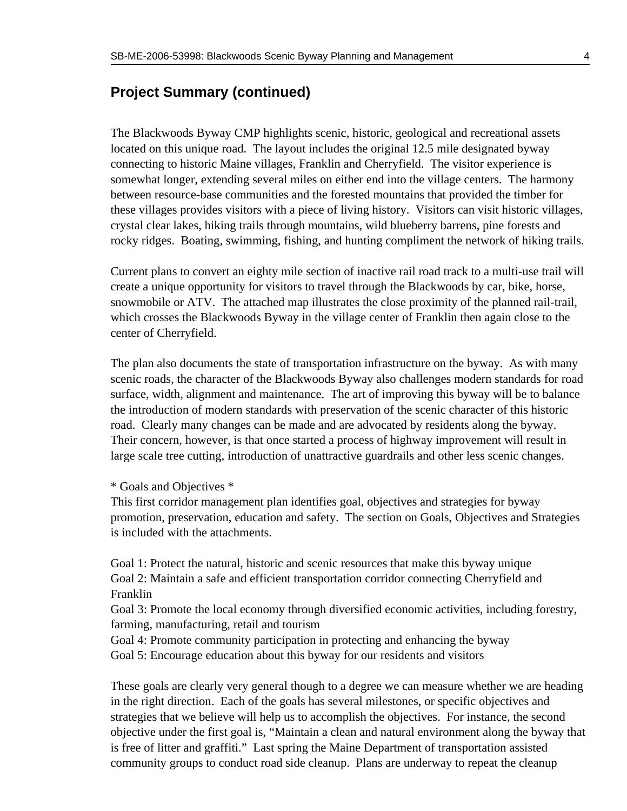#### **Project Summary (continued)**

The Blackwoods Byway CMP highlights scenic, historic, geological and recreational assets located on this unique road. The layout includes the original 12.5 mile designated byway connecting to historic Maine villages, Franklin and Cherryfield. The visitor experience is somewhat longer, extending several miles on either end into the village centers. The harmony between resource-base communities and the forested mountains that provided the timber for these villages provides visitors with a piece of living history. Visitors can visit historic villages, crystal clear lakes, hiking trails through mountains, wild blueberry barrens, pine forests and rocky ridges. Boating, swimming, fishing, and hunting compliment the network of hiking trails.

Current plans to convert an eighty mile section of inactive rail road track to a multi-use trail will create a unique opportunity for visitors to travel through the Blackwoods by car, bike, horse, snowmobile or ATV. The attached map illustrates the close proximity of the planned rail-trail, which crosses the Blackwoods Byway in the village center of Franklin then again close to the center of Cherryfield.

The plan also documents the state of transportation infrastructure on the byway. As with many scenic roads, the character of the Blackwoods Byway also challenges modern standards for road surface, width, alignment and maintenance. The art of improving this byway will be to balance the introduction of modern standards with preservation of the scenic character of this historic road. Clearly many changes can be made and are advocated by residents along the byway. Their concern, however, is that once started a process of highway improvement will result in large scale tree cutting, introduction of unattractive guardrails and other less scenic changes.

#### \* Goals and Objectives \*

This first corridor management plan identifies goal, objectives and strategies for byway promotion, preservation, education and safety. The section on Goals, Objectives and Strategies is included with the attachments.

Goal 1: Protect the natural, historic and scenic resources that make this byway unique Goal 2: Maintain a safe and efficient transportation corridor connecting Cherryfield and Franklin

Goal 3: Promote the local economy through diversified economic activities, including forestry, farming, manufacturing, retail and tourism

Goal 4: Promote community participation in protecting and enhancing the byway

Goal 5: Encourage education about this byway for our residents and visitors

These goals are clearly very general though to a degree we can measure whether we are heading in the right direction. Each of the goals has several milestones, or specific objectives and strategies that we believe will help us to accomplish the objectives. For instance, the second objective under the first goal is, "Maintain a clean and natural environment along the byway that is free of litter and graffiti." Last spring the Maine Department of transportation assisted community groups to conduct road side cleanup. Plans are underway to repeat the cleanup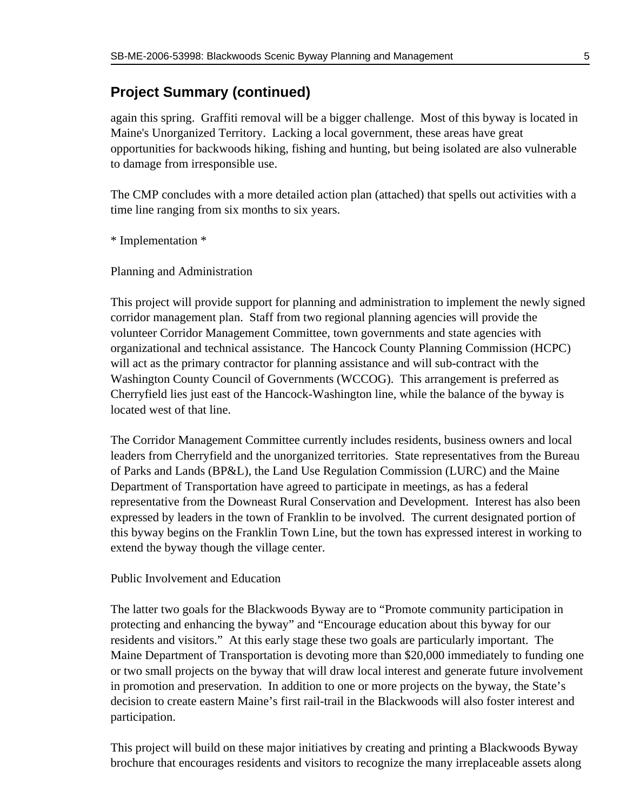### **Project Summary (continued)**

again this spring. Graffiti removal will be a bigger challenge. Most of this byway is located in Maine's Unorganized Territory. Lacking a local government, these areas have great opportunities for backwoods hiking, fishing and hunting, but being isolated are also vulnerable to damage from irresponsible use.

The CMP concludes with a more detailed action plan (attached) that spells out activities with a time line ranging from six months to six years.

\* Implementation \*

Planning and Administration

This project will provide support for planning and administration to implement the newly signed corridor management plan. Staff from two regional planning agencies will provide the volunteer Corridor Management Committee, town governments and state agencies with organizational and technical assistance. The Hancock County Planning Commission (HCPC) will act as the primary contractor for planning assistance and will sub-contract with the Washington County Council of Governments (WCCOG). This arrangement is preferred as Cherryfield lies just east of the Hancock-Washington line, while the balance of the byway is located west of that line.

The Corridor Management Committee currently includes residents, business owners and local leaders from Cherryfield and the unorganized territories. State representatives from the Bureau of Parks and Lands (BP&L), the Land Use Regulation Commission (LURC) and the Maine Department of Transportation have agreed to participate in meetings, as has a federal representative from the Downeast Rural Conservation and Development. Interest has also been expressed by leaders in the town of Franklin to be involved. The current designated portion of this byway begins on the Franklin Town Line, but the town has expressed interest in working to extend the byway though the village center.

Public Involvement and Education

The latter two goals for the Blackwoods Byway are to "Promote community participation in protecting and enhancing the byway" and "Encourage education about this byway for our residents and visitors." At this early stage these two goals are particularly important. The Maine Department of Transportation is devoting more than \$20,000 immediately to funding one or two small projects on the byway that will draw local interest and generate future involvement in promotion and preservation. In addition to one or more projects on the byway, the State's decision to create eastern Maine's first rail-trail in the Blackwoods will also foster interest and participation.

This project will build on these major initiatives by creating and printing a Blackwoods Byway brochure that encourages residents and visitors to recognize the many irreplaceable assets along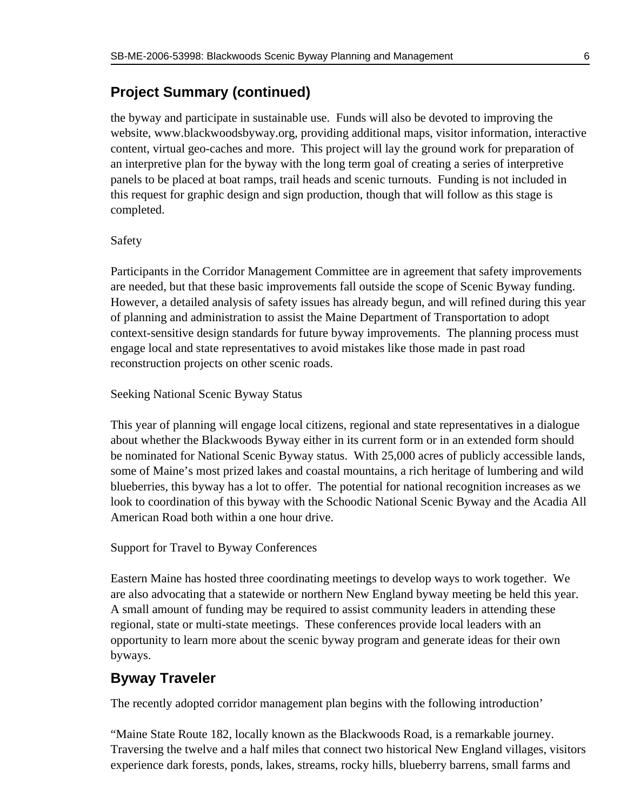#### **Project Summary (continued)**

the byway and participate in sustainable use. Funds will also be devoted to improving the website, www.blackwoodsbyway.org, providing additional maps, visitor information, interactive content, virtual geo-caches and more. This project will lay the ground work for preparation of an interpretive plan for the byway with the long term goal of creating a series of interpretive panels to be placed at boat ramps, trail heads and scenic turnouts. Funding is not included in this request for graphic design and sign production, though that will follow as this stage is completed.

#### Safety

Participants in the Corridor Management Committee are in agreement that safety improvements are needed, but that these basic improvements fall outside the scope of Scenic Byway funding. However, a detailed analysis of safety issues has already begun, and will refined during this year of planning and administration to assist the Maine Department of Transportation to adopt context-sensitive design standards for future byway improvements. The planning process must engage local and state representatives to avoid mistakes like those made in past road reconstruction projects on other scenic roads.

Seeking National Scenic Byway Status

This year of planning will engage local citizens, regional and state representatives in a dialogue about whether the Blackwoods Byway either in its current form or in an extended form should be nominated for National Scenic Byway status. With 25,000 acres of publicly accessible lands, some of Maine's most prized lakes and coastal mountains, a rich heritage of lumbering and wild blueberries, this byway has a lot to offer. The potential for national recognition increases as we look to coordination of this byway with the Schoodic National Scenic Byway and the Acadia All American Road both within a one hour drive.

#### Support for Travel to Byway Conferences

Eastern Maine has hosted three coordinating meetings to develop ways to work together. We are also advocating that a statewide or northern New England byway meeting be held this year. A small amount of funding may be required to assist community leaders in attending these regional, state or multi-state meetings. These conferences provide local leaders with an opportunity to learn more about the scenic byway program and generate ideas for their own byways.

#### **Byway Traveler**

The recently adopted corridor management plan begins with the following introduction'

"Maine State Route 182, locally known as the Blackwoods Road, is a remarkable journey. Traversing the twelve and a half miles that connect two historical New England villages, visitors experience dark forests, ponds, lakes, streams, rocky hills, blueberry barrens, small farms and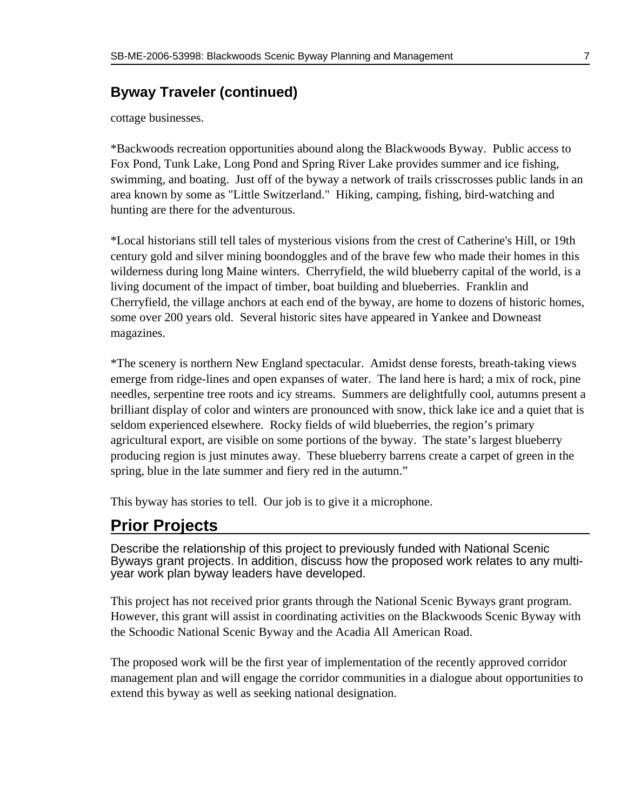### **Byway Traveler (continued)**

cottage businesses.

\* Backwoods recreation opportunities abound along the Blackwoods Byway. Public access to Fox Pond, Tunk Lake, Long Pond and Spring River Lake provides summer and ice fishing, swimming, and boating. Just off of the byway a network of trails crisscrosses public lands in an area known by some as "Little Switzerland." Hiking, camping, fishing, bird-watching and hunting are there for the adventurous.

\* Local historians still tell tales of mysterious visions from the crest of Catherine's Hill, or 19th century gold and silver mining boondoggles and of the brave few who made their homes in this wilderness during long Maine winters. Cherryfield, the wild blueberry capital of the world, is a living document of the impact of timber, boat building and blueberries. Franklin and Cherryfield, the village anchors at each end of the byway, are home to dozens of historic homes, some over 200 years old. Several historic sites have appeared in Yankee and Downeast magazines.

\* The scenery is northern New England spectacular. Amidst dense forests, breath-taking views emerge from ridge-lines and open expanses of water. The land here is hard; a mix of rock, pine needles, serpentine tree roots and icy streams. Summers are delightfully cool, autumns present a brilliant display of color and winters are pronounced with snow, thick lake ice and a quiet that is seldom experienced elsewhere. Rocky fields of wild blueberries, the region's primary agricultural export, are visible on some portions of the byway. The state's largest blueberry producing region is just minutes away. These blueberry barrens create a carpet of green in the spring, blue in the late summer and fiery red in the autumn."

This byway has stories to tell. Our job is to give it a microphone.

### **Prior Projects**

Describe the relationship of this project to previously funded with National Scenic Byways grant projects. In addition, discuss how the proposed work relates to any multiyear work plan byway leaders have developed.

This project has not received prior grants through the National Scenic Byways grant program. However, this grant will assist in coordinating activities on the Blackwoods Scenic Byway with the Schoodic National Scenic Byway and the Acadia All American Road.

The proposed work will be the first year of implementation of the recently approved corridor management plan and will engage the corridor communities in a dialogue about opportunities to extend this byway as well as seeking national designation.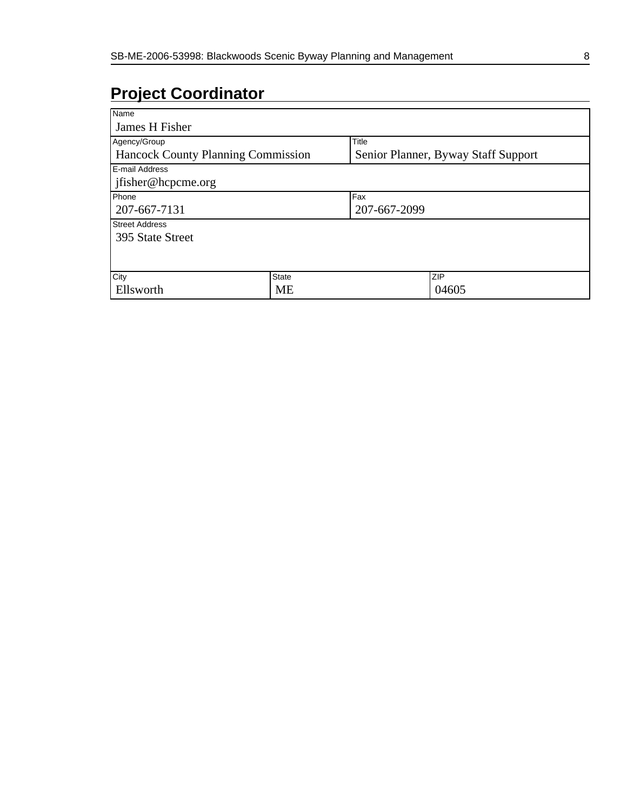# **Project Coordinator**

| Name                                      |           |                                     |       |  |
|-------------------------------------------|-----------|-------------------------------------|-------|--|
| James H Fisher                            |           |                                     |       |  |
| Agency/Group                              |           | Title                               |       |  |
| <b>Hancock County Planning Commission</b> |           | Senior Planner, Byway Staff Support |       |  |
| <b>E-mail Address</b>                     |           |                                     |       |  |
| ifisher@hcpcme.org                        |           |                                     |       |  |
| Phone                                     |           | Fax                                 |       |  |
| 207-667-7131                              |           | 207-667-2099                        |       |  |
| <b>Street Address</b>                     |           |                                     |       |  |
| 395 State Street                          |           |                                     |       |  |
|                                           |           |                                     |       |  |
|                                           |           |                                     |       |  |
| City                                      | State     |                                     | ZIP   |  |
| Ellsworth                                 | <b>ME</b> |                                     | 04605 |  |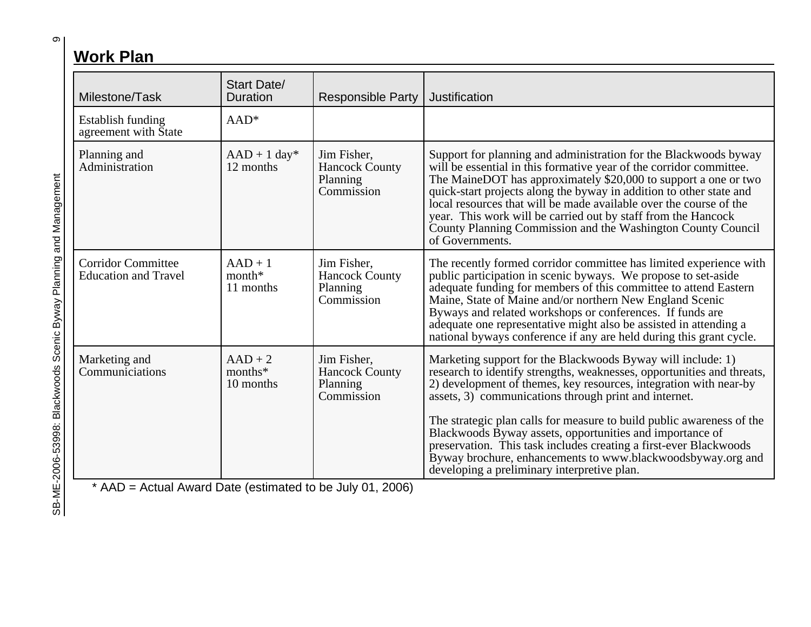# **Work Plan**

| Milestone/Task                                            | <b>Start Date/</b><br><b>Duration</b> | <b>Responsible Party</b>                                       | Justification                                                                                                                                                                                                                                                                                                                                                                                                                                                                                               |
|-----------------------------------------------------------|---------------------------------------|----------------------------------------------------------------|-------------------------------------------------------------------------------------------------------------------------------------------------------------------------------------------------------------------------------------------------------------------------------------------------------------------------------------------------------------------------------------------------------------------------------------------------------------------------------------------------------------|
| <b>Establish funding</b><br>agreement with State          | $AAD*$                                |                                                                |                                                                                                                                                                                                                                                                                                                                                                                                                                                                                                             |
| Planning and<br>Administration                            | $AAD + 1 day*$<br>12 months           | Jim Fisher,<br><b>Hancock County</b><br>Planning<br>Commission | Support for planning and administration for the Blackwoods byway<br>will be essential in this formative year of the corridor committee.<br>The MaineDOT has approximately \$20,000 to support a one or two<br>quick-start projects along the byway in addition to other state and<br>local resources that will be made available over the course of the<br>year. This work will be carried out by staff from the Hancock<br>County Planning Commission and the Washington County Council<br>of Governments. |
| <b>Corridor Committee</b><br><b>Education and Travel</b>  | $AAD + 1$<br>$month*$<br>11 months    | Jim Fisher,<br><b>Hancock County</b><br>Planning<br>Commission | The recently formed corridor committee has limited experience with<br>public participation in scenic byways. We propose to set-aside<br>adequate funding for members of this committee to attend Eastern<br>Maine, State of Maine and/or northern New England Scenic<br>Byways and related workshops or conferences. If funds are<br>adequate one representative might also be assisted in attending a<br>national byways conference if any are held during this grant cycle.                               |
| Marketing and<br>Communiciations                          | $AAD + 2$<br>months*<br>10 months     | Jim Fisher,<br><b>Hancock County</b><br>Planning<br>Commission | Marketing support for the Blackwoods Byway will include: 1)<br>research to identify strengths, weaknesses, opportunities and threats,<br>2) development of themes, key resources, integration with near-by<br>assets, 3) communications through print and internet.<br>The strategic plan calls for measure to build public awareness of the<br>Blackwoods Byway assets, opportunities and importance of<br>preservation. This task includes creating a first-ever Blackwoods                               |
| * AAD = Actual Award Date (estimated to be July 01, 2006) |                                       |                                                                | Byway brochure, enhancements to www.blackwoodsbyway.org and<br>developing a preliminary interpretive plan.                                                                                                                                                                                                                                                                                                                                                                                                  |

SB-ME-2006-53998: Blackwoods Scenic Byway Planning and Management SB-ME-2006-53998: Blackwoods Scenic Byway Planning and Management

თ $|$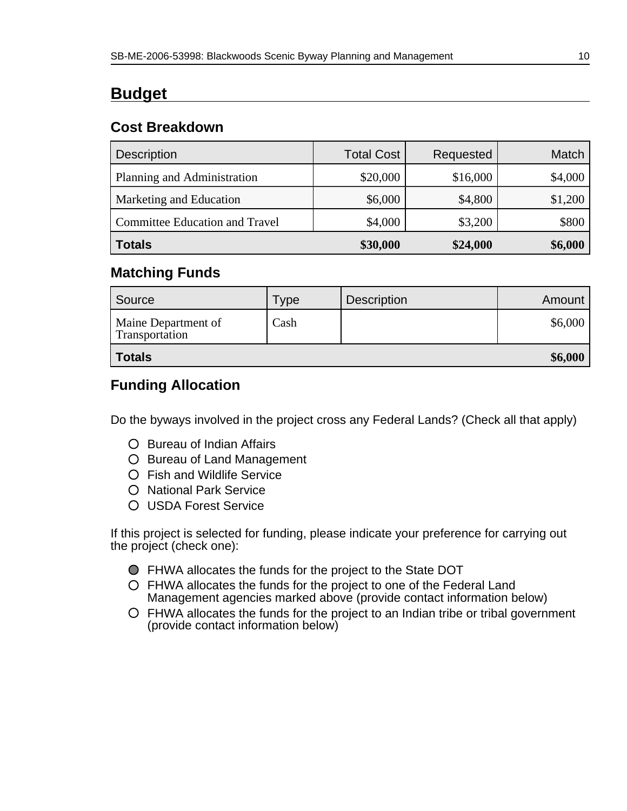# **Budget**

#### **Cost Breakdown**

| <b>Description</b>                    | <b>Total Cost</b> | Requested | Match   |
|---------------------------------------|-------------------|-----------|---------|
| Planning and Administration           | \$20,000          | \$16,000  | \$4,000 |
| Marketing and Education               | \$6,000           | \$4,800   | \$1,200 |
| <b>Committee Education and Travel</b> | \$4,000           | \$3,200   | \$800   |
| <b>Totals</b>                         | \$30,000          | \$24,000  | \$6,000 |

#### **Matching Funds**

| Source                                | ⊺ype | <b>Description</b> | Amount  |
|---------------------------------------|------|--------------------|---------|
| Maine Department of<br>Transportation | Cash |                    | \$6,000 |
| <b>Totals</b>                         |      |                    | \$6,000 |

### **Funding Allocation**

Do the byways involved in the project cross any Federal Lands? (Check all that apply)

- O Bureau of Indian Affairs
- O Bureau of Land Management
- Fish and Wildlife Service
- O National Park Service
- USDA Forest Service

If this project is selected for funding, please indicate your preference for carrying out the project (check one):

- FHWA allocates the funds for the project to the State DOT
- FHWA allocates the funds for the project to one of the Federal Land Management agencies marked above (provide contact information below)
- FHWA allocates the funds for the project to an Indian tribe or tribal government (provide contact information below)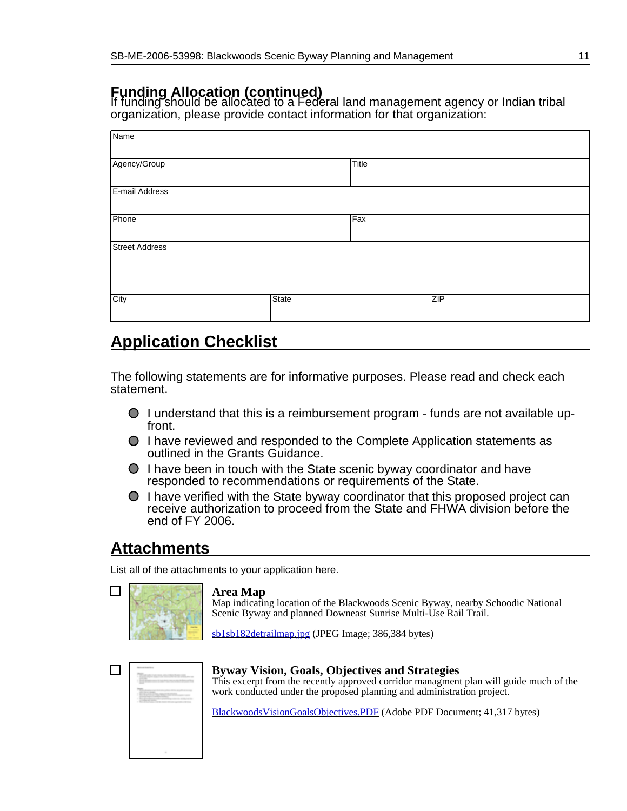#### **Funding Allocation (continued)**

If funding should be allocated to a Federal land management agency or Indian tribal organization, please provide contact information for that organization:

| Name                  |       |       |     |  |
|-----------------------|-------|-------|-----|--|
| Agency/Group          |       | Title |     |  |
| E-mail Address        |       |       |     |  |
| Phone                 |       | Fax   |     |  |
| <b>Street Address</b> |       |       |     |  |
| City                  | State |       | ZIP |  |

### **Application Checklist**

The following statements are for informative purposes. Please read and check each statement.

- $\bigcirc$  I understand that this is a reimbursement program funds are not available upfront.
- I have reviewed and responded to the Complete Application statements as outlined in the Grants Guidance.
- $\bigcirc$  I have been in touch with the State scenic byway coordinator and have responded to recommendations or requirements of the State.
- I have verified with the State byway coordinator that this proposed project can receive authorization to proceed from the State and FHWA division before the end of FY 2006.

# **Attachments**

List all of the attachments to your application here.

#### **Area Map**

Map indicating location of the Blackwoods Scenic Byway, nearby Schoodic National Scenic Byway and planned Downeast Sunrise Multi-Use Rail Trail.

[sb1sb182detrailmap.jpg](http://www.bywaysonline.org/grants/application/viewattach/3253/sb1sb182detrailmap.jpg) (JPEG Image; 386,384 bytes)

| ------<br><b>ZOOM AND</b><br>--<br>1. Send the property service in the detection of the control of the con-<br>and the company's property and the<br>----                                                          |
|--------------------------------------------------------------------------------------------------------------------------------------------------------------------------------------------------------------------|
| <b>TVS</b> commercial<br>---------<br><b>EDITION</b><br>product water to a distance that<br>to the structures with control<br>-----<br>$\sim$<br><b>SCIENTIST COMPANY</b> IN 1979 AND IN 1979 AND IN 1979 FOR<br>٠ |
|                                                                                                                                                                                                                    |
| ٠                                                                                                                                                                                                                  |

#### **Byway Vision, Goals, Objectives and Strategies** This excerpt from the recently approved corridor managment plan will guide much of the work conducted under the proposed planning and administration project.

[BlackwoodsVisionGoalsObjectives.PDF](http://www.bywaysonline.org/grants/application/viewattach/3254/BlackwoodsVisionGoalsObjectives.PDF) (Adobe PDF Document; 41,317 bytes)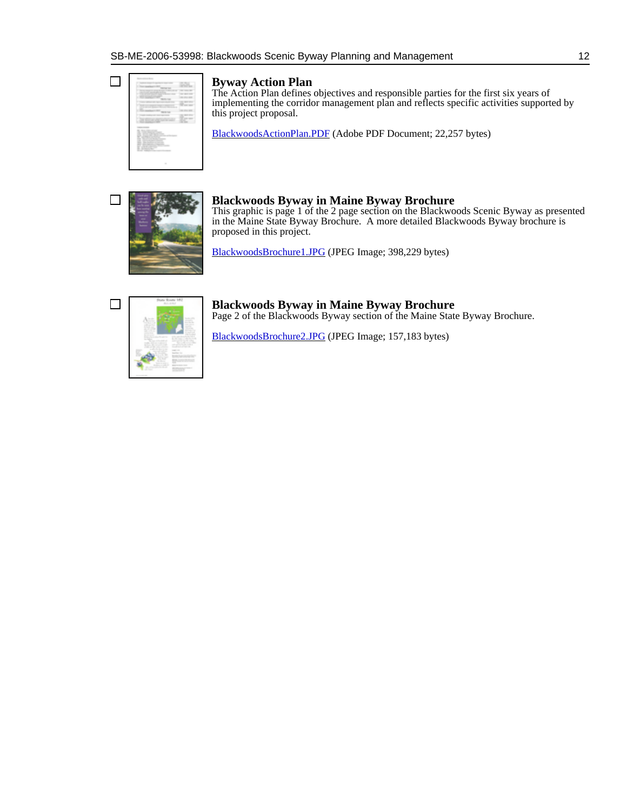|                                                                                                                                                                                                                                                                                                           | <br>-<br>٠       |
|-----------------------------------------------------------------------------------------------------------------------------------------------------------------------------------------------------------------------------------------------------------------------------------------------------------|------------------|
|                                                                                                                                                                                                                                                                                                           |                  |
| -<br>and the same state of the state                                                                                                                                                                                                                                                                      |                  |
| ۲<br>the state and control to the<br>------                                                                                                                                                                                                                                                               |                  |
| ___                                                                                                                                                                                                                                                                                                       |                  |
|                                                                                                                                                                                                                                                                                                           | 851              |
| -<br>$\sim$<br>$\sim$                                                                                                                                                                                                                                                                                     |                  |
| -                                                                                                                                                                                                                                                                                                         | ----             |
|                                                                                                                                                                                                                                                                                                           |                  |
| ۰<br>œ<br>٠<br>٠                                                                                                                                                                                                                                                                                          | B<br><b>STAR</b> |
| <b>CARD AND A</b><br>AND - Marine company concepts<br>The Contemporary Company<br>tion. Service today during these<br>and the company's<br>resour<br>the statement facts.<br>and the factory countries.<br>and cars to serve the company<br><b>Contractor</b><br>--<br>.<br>Ministr Commission Commission |                  |
|                                                                                                                                                                                                                                                                                                           |                  |

 $\Box$ 

#### **Byway Action Plan**

The Action Plan defines objectives and responsible parties for the first six years of implementing the corridor management plan and reflects specific activities supported by this project proposal.

[BlackwoodsActionPlan.PDF](http://www.bywaysonline.org/grants/application/viewattach/3255/BlackwoodsActionPlan.PDF) (Adobe PDF Document; 22,257 bytes)



#### **Blackwoods Byway in Maine Byway Brochure**

This graphic is page 1 of the 2 page section on the Blackwoods Scenic Byway as presented in the Maine State Byway Brochure. A more detailed Blackwoods Byway brochure is proposed in this project.

[BlackwoodsBrochure1.JPG](http://www.bywaysonline.org/grants/application/viewattach/3256/BlackwoodsBrochure1.JPG) (JPEG Image; 398,229 bytes)



**Blackwoods Byway in Maine Byway Brochure** Page 2 of the Blackwoods Byway section of the Maine State Byway Brochure.

[BlackwoodsBrochure2.JPG](http://www.bywaysonline.org/grants/application/viewattach/3257/BlackwoodsBrochure2.JPG) (JPEG Image; 157,183 bytes)